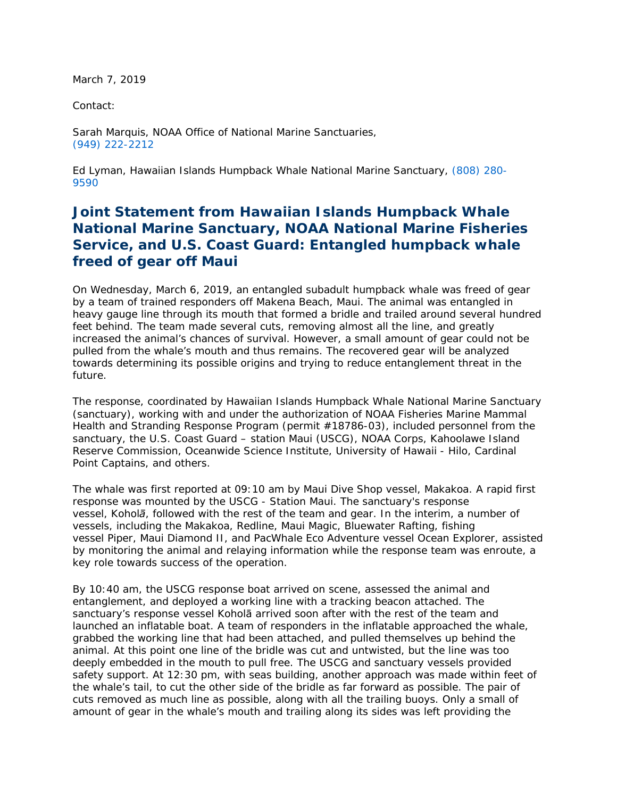March 7, 2019

Contact:

 Sarah Marquis, NOAA Office of National Marine Sanctuaries, (949) 222-2212

 Ed Lyman, Hawaiian Islands Humpback Whale National Marine Sanctuary, (808) 280- 9590

 *Joint Statement from Hawaiian Islands Humpback Whale National Marine Sanctuary, NOAA National Marine Fisheries Service, and U.S. Coast Guard: Entangled humpback whale freed of gear off Maui* 

 On Wednesday, March 6, 2019, an entangled subadult humpback whale was freed of gear by a team of trained responders off Makena Beach, Maui. The animal was entangled in heavy gauge line through its mouth that formed a bridle and trailed around several hundred increased the animal's chances of survival. However, a small amount of gear could not be pulled from the whale's mouth and thus remains. The recovered gear will be analyzed feet behind. The team made several cuts, removing almost all the line, and greatly towards determining its possible origins and trying to reduce entanglement threat in the future.

 The response, coordinated by Hawaiian Islands Humpback Whale National Marine Sanctuary (sanctuary), working with and under the authorization of NOAA Fisheries Marine Mammal Health and Stranding Response Program (permit #18786-03), included personnel from the sanctuary, the U.S. Coast Guard – station Maui (USCG), NOAA Corps, Kahoolawe Island Reserve Commission, Oceanwide Science Institute, University of Hawaii - Hilo, Cardinal Point Captains, and others.

 The whale was first reported at 09:10 am by Maui Dive Shop vessel, *Makakoa*. A rapid first response was mounted by the USCG - Station Maui. The sanctuary's response vessels, including the *Makakoa*, *Redline*, *Maui Magic*, *Bluewater Rafting*, fishing vessel *Piper*, *Maui Diamond II*, and PacWhale Eco Adventure vessel *Ocean Explorer,* assisted by monitoring the animal and relaying information while the response team was enroute, a key role towards success of the operation. vessel, *Koholā*, followed with the rest of the team and gear. In the interim, a number of

 By 10:40 am, the USCG response boat arrived on scene, assessed the animal and sanctuary's response vessel Koholā arrived soon after with the rest of the team and launched an inflatable boat. A team of responders in the inflatable approached the whale, animal. At this point one line of the bridle was cut and untwisted, but the line was too deeply embedded in the mouth to pull free. The USCG and sanctuary vessels provided safety support. At 12:30 pm, with seas building, another approach was made within feet of cuts removed as much line as possible, along with all the trailing buoys. Only a small of amount of gear in the whale's mouth and trailing along its sides was left providing the entanglement, and deployed a working line with a tracking beacon attached. The grabbed the working line that had been attached, and pulled themselves up behind the the whale's tail, to cut the other side of the bridle as far forward as possible. The pair of